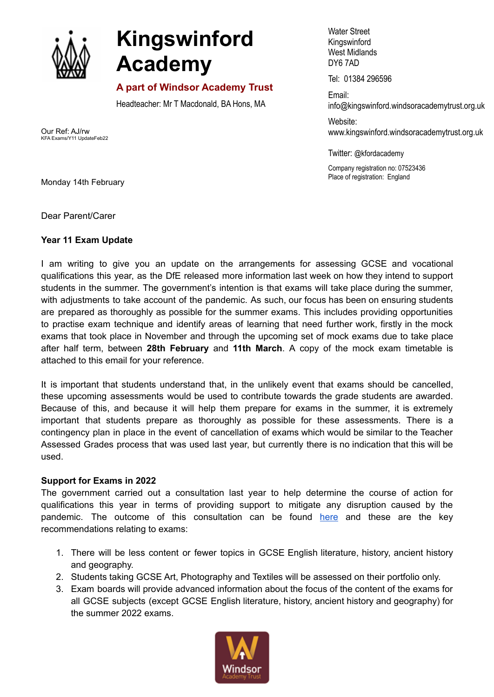

## **Kingswinford Academy**

## **A part of Windsor Academy Trust**

Headteacher: Mr T Macdonald, BA Hons, MA

Our Ref: AJ/rw KFA Exams/Y11 UpdateFeb22

Water Street Kingswinford West Midlands DY6 7AD

Tel: 01384 296596

Email: info@kingswinford[.windsoracademytrust.org.uk](http://www.windsoracademytrust.org.uk)

Website: www.kingswinford.windsoracademytrust.org.uk

Twitter: @kfordacademy

Company registration no: 07523436 Place of registration: England

Monday 14th February

Dear Parent/Carer

## **Year 11 Exam Update**

I am writing to give you an update on the arrangements for assessing GCSE and vocational qualifications this year, as the DfE released more information last week on how they intend to support students in the summer. The government's intention is that exams will take place during the summer, with adjustments to take account of the pandemic. As such, our focus has been on ensuring students are prepared as thoroughly as possible for the summer exams. This includes providing opportunities to practise exam technique and identify areas of learning that need further work, firstly in the mock exams that took place in November and through the upcoming set of mock exams due to take place after half term, between **28th February** and **11th March**. A copy of the mock exam timetable is attached to this email for your reference.

It is important that students understand that, in the unlikely event that exams should be cancelled, these upcoming assessments would be used to contribute towards the grade students are awarded. Because of this, and because it will help them prepare for exams in the summer, it is extremely important that students prepare as thoroughly as possible for these assessments. There is a contingency plan in place in the event of cancellation of exams which would be similar to the Teacher Assessed Grades process that was used last year, but currently there is no indication that this will be used.

## **Support for Exams in 2022**

The government carried out a consultation last year to help determine the course of action for qualifications this year in terms of providing support to mitigate any disruption caused by the pandemic. The outcome of this consultation can be found [here](https://www.gov.uk/government/consultations/proposed-changes-to-the-assessment-of-gcses-as-and-a-levels-in-2022/outcome/decisions-proposed-changes-to-the-assessment-of-gcses-as-and-a-levels-in-2022) and these are the key recommendations relating to exams:

- 1. There will be less content or fewer topics in GCSE English literature, history, ancient history and geography.
- 2. Students taking GCSE Art, Photography and Textiles will be assessed on their portfolio only.
- 3. Exam boards will provide advanced information about the focus of the content of the exams for all GCSE subjects (except GCSE English literature, history, ancient history and geography) for the summer 2022 exams.